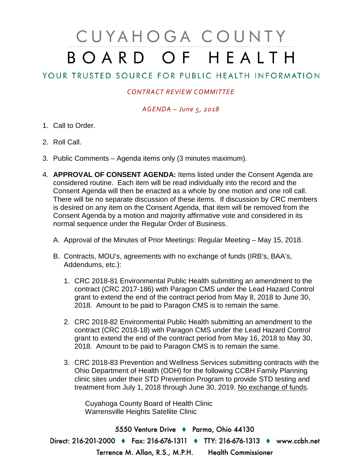# CUYAHOGA COUNTY BOARD OF HEALTH

## YOUR TRUSTED SOURCE FOR PUBLIC HEALTH INFORMATION

### *CONTRACT REVIEW COMMITTEE*

#### *AGENDA – June 5, 2018*

- 1. Call to Order.
- 2. Roll Call.
- 3. Public Comments Agenda items only (3 minutes maximum).
- 4. **APPROVAL OF CONSENT AGENDA:** Items listed under the Consent Agenda are considered routine. Each item will be read individually into the record and the Consent Agenda will then be enacted as a whole by one motion and one roll call. There will be no separate discussion of these items. If discussion by CRC members is desired on any item on the Consent Agenda, that item will be removed from the Consent Agenda by a motion and majority affirmative vote and considered in its normal sequence under the Regular Order of Business.
	- A. Approval of the Minutes of Prior Meetings: Regular Meeting May 15, 2018.
	- B. Contracts, MOU's, agreements with no exchange of funds (IRB's, BAA's, Addendums, etc.):
		- 1. CRC 2018-81 Environmental Public Health submitting an amendment to the contract (CRC 2017-186) with Paragon CMS under the Lead Hazard Control grant to extend the end of the contract period from May 8, 2018 to June 30, 2018. Amount to be paid to Paragon CMS is to remain the same.
		- 2. CRC 2018-82 Environmental Public Health submitting an amendment to the contract (CRC 2018-18) with Paragon CMS under the Lead Hazard Control grant to extend the end of the contract period from May 16, 2018 to May 30, 2018. Amount to be paid to Paragon CMS is to remain the same.
		- 3. CRC 2018-83 Prevention and Wellness Services submitting contracts with the Ohio Department of Health (ODH) for the following CCBH Family Planning clinic sites under their STD Prevention Program to provide STD testing and treatment from July 1, 2018 through June 30, 2019. No exchange of funds.

Cuyahoga County Board of Health Clinic Warrensville Heights Satellite Clinic

5550 Venture Drive + Parma, Ohio 44130 Direct: 216-201-2000 • Fax: 216-676-1311 • TTY: 216-676-1313 • www.ccbh.net Terrence M. Allan, R.S., M.P.H. Health Commissioner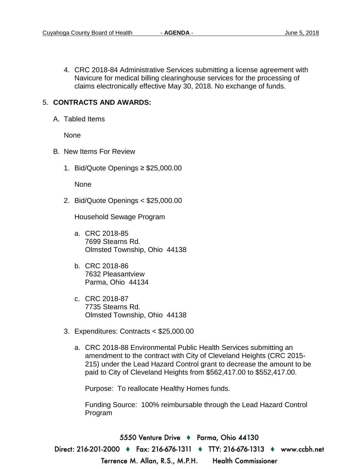4. CRC 2018-84 Administrative Services submitting a license agreement with Navicure for medical billing clearinghouse services for the processing of claims electronically effective May 30, 2018. No exchange of funds.

#### 5. **CONTRACTS AND AWARDS:**

A. Tabled Items

None

- B. New Items For Review
	- 1. Bid/Quote Openings ≥ \$25,000.00

None

2. Bid/Quote Openings < \$25,000.00

Household Sewage Program

- a. CRC 2018-85 7699 Stearns Rd. Olmsted Township, Ohio 44138
- b. CRC 2018-86 7632 Pleasantview Parma, Ohio 44134
- c. CRC 2018-87 7735 Stearns Rd. Olmsted Township, Ohio 44138
- 3. Expenditures: Contracts < \$25,000.00
	- a. CRC 2018-88 Environmental Public Health Services submitting an amendment to the contract with City of Cleveland Heights (CRC 2015- 215) under the Lead Hazard Control grant to decrease the amount to be paid to City of Cleveland Heights from \$562,417.00 to \$552,417.00.

Purpose: To reallocate Healthy Homes funds.

Funding Source: 100% reimbursable through the Lead Hazard Control Program

5550 Venture Drive ♦ Parma, Ohio 44130 Direct: 216-201-2000 ♦ Fax: 216-676-1311 ♦ TTY: 216-676-1313 ♦ www.ccbh.net Terrence M. Allan, R.S., M.P.H. **Health Commissioner**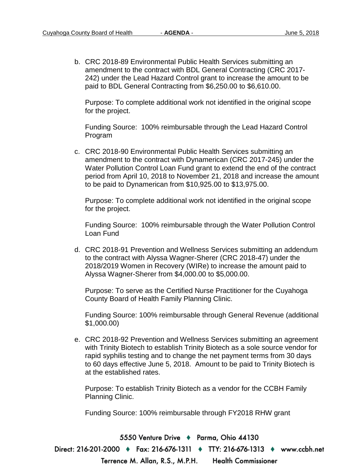b. CRC 2018-89 Environmental Public Health Services submitting an amendment to the contract with BDL General Contracting (CRC 2017- 242) under the Lead Hazard Control grant to increase the amount to be paid to BDL General Contracting from \$6,250.00 to \$6,610.00.

Purpose: To complete additional work not identified in the original scope for the project.

Funding Source: 100% reimbursable through the Lead Hazard Control Program

c. CRC 2018-90 Environmental Public Health Services submitting an amendment to the contract with Dynamerican (CRC 2017-245) under the Water Pollution Control Loan Fund grant to extend the end of the contract period from April 10, 2018 to November 21, 2018 and increase the amount to be paid to Dynamerican from \$10,925.00 to \$13,975.00.

Purpose: To complete additional work not identified in the original scope for the project.

Funding Source: 100% reimbursable through the Water Pollution Control Loan Fund

d. CRC 2018-91 Prevention and Wellness Services submitting an addendum to the contract with Alyssa Wagner-Sherer (CRC 2018-47) under the 2018/2019 Women in Recovery (WIRe) to increase the amount paid to Alyssa Wagner-Sherer from \$4,000.00 to \$5,000.00.

Purpose: To serve as the Certified Nurse Practitioner for the Cuyahoga County Board of Health Family Planning Clinic.

Funding Source: 100% reimbursable through General Revenue (additional \$1,000.00)

e. CRC 2018-92 Prevention and Wellness Services submitting an agreement with Trinity Biotech to establish Trinity Biotech as a sole source vendor for rapid syphilis testing and to change the net payment terms from 30 days to 60 days effective June 5, 2018. Amount to be paid to Trinity Biotech is at the established rates.

Purpose: To establish Trinity Biotech as a vendor for the CCBH Family Planning Clinic.

Funding Source: 100% reimbursable through FY2018 RHW grant

5550 Venture Drive + Parma, Ohio 44130 Direct: 216-201-2000 • Fax: 216-676-1311 • TTY: 216-676-1313 • www.ccbh.net Terrence M. Allan, R.S., M.P.H. **Health Commissioner**